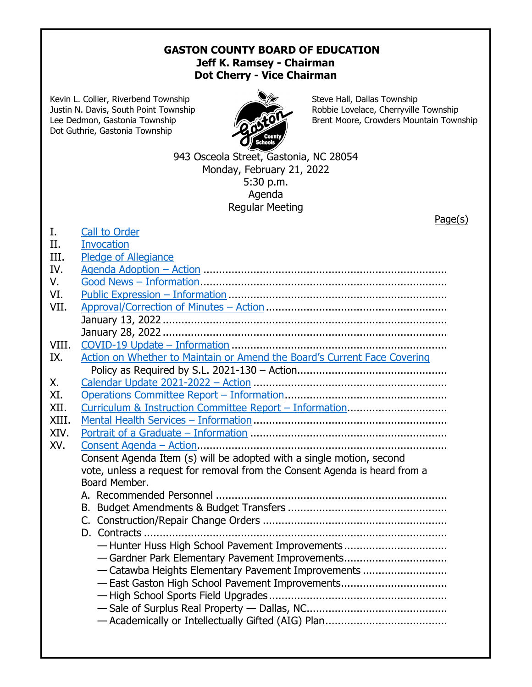## **GASTON COUNTY BOARD OF EDUCATION Jeff K. Ramsey - Chairman Dot Cherry - Vice Chairman**

Kevin L. Collier, Riverbend Township Steve Hall, Dallas Township Dot Guthrie, Gastonia Township



Justin N. Davis, South Point Township Robbie Lovelace, Cherryville Township Lee Dedmon, Gastonia Township **Brent Moore, Crowders Mountain Township** 

> 943 Osceola Street, Gastonia, NC 28054 Monday, February 21, 2022 5:30 p.m. Agenda Regular Meeting

|       | Page(s)                                                                    |  |
|-------|----------------------------------------------------------------------------|--|
| Ι.    | <b>Call to Order</b>                                                       |  |
| II.   | <b>Invocation</b>                                                          |  |
| III.  | <b>Pledge of Allegiance</b>                                                |  |
| IV.   |                                                                            |  |
| V.    |                                                                            |  |
| VI.   |                                                                            |  |
| VII.  |                                                                            |  |
|       |                                                                            |  |
|       |                                                                            |  |
| VIII. |                                                                            |  |
| IX.   | Action on Whether to Maintain or Amend the Board's Current Face Covering   |  |
|       |                                                                            |  |
| Χ.    |                                                                            |  |
| XI.   |                                                                            |  |
| XII.  |                                                                            |  |
| XIII. |                                                                            |  |
| XIV.  |                                                                            |  |
| XV.   |                                                                            |  |
|       | Consent Agenda Item (s) will be adopted with a single motion, second       |  |
|       | vote, unless a request for removal from the Consent Agenda is heard from a |  |
|       | Board Member.                                                              |  |
|       |                                                                            |  |
|       |                                                                            |  |
|       |                                                                            |  |
|       | D. Contracts                                                               |  |
|       | -Hunter Huss High School Pavement Improvements                             |  |
|       | -Gardner Park Elementary Pavement Improvements                             |  |
|       | - Catawba Heights Elementary Pavement Improvements                         |  |
|       | - East Gaston High School Pavement Improvements                            |  |
|       |                                                                            |  |
|       |                                                                            |  |
|       |                                                                            |  |
|       |                                                                            |  |